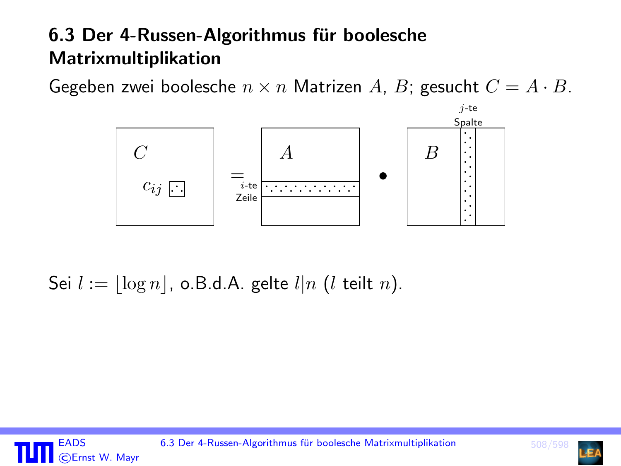# <span id="page-0-0"></span>6.3 Der 4-Russen-Algorithmus für boolesche Matrixmultiplikation

Gegeben zwei boolesche  $n \times n$  Matrizen A, B; gesucht  $C = A \cdot B$ .



Sei  $l := |\log n|$ , o.B.d.A. gelte  $l|n$  (l teilt n).



EADS 6.3 Der 4-Russen-Algorithmus für boolesche Matrixmultiplikation 508/59

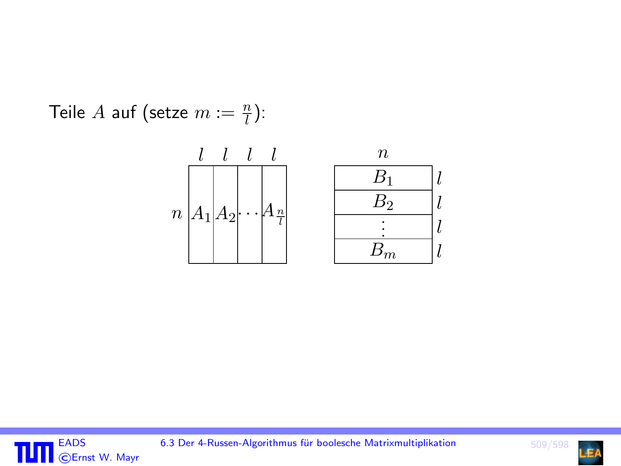Teile  $A$  auf (setze  $m := \frac{n}{l}$ ):





EADS 6.3 Der 4-Russen-Algorithmus für boolesche Matrixmultiplikation in the state of 509/598

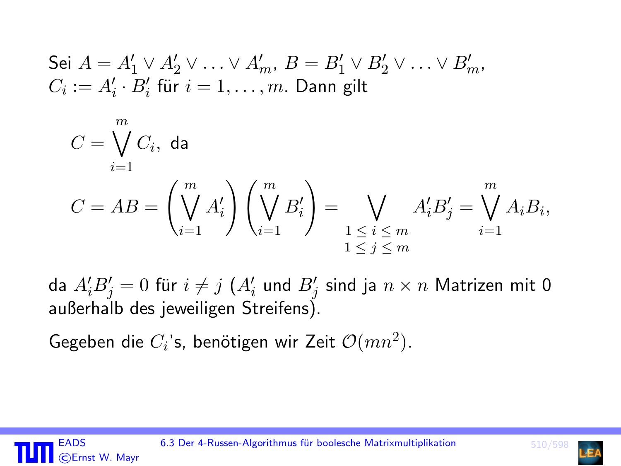Sei 
$$
A = A'_1 \vee A'_2 \vee \ldots \vee A'_m
$$
,  $B = B'_1 \vee B'_2 \vee \ldots \vee B'_m$ ,  
 $C_i := A'_i \cdot B'_i$  für  $i = 1, \ldots, m$ . **Dann gilt**

$$
C = \bigvee_{i=1}^{m} C_i, \text{ da}
$$
  

$$
C = AB = \left(\bigvee_{i=1}^{m} A'_i\right) \left(\bigvee_{i=1}^{m} B'_i\right) = \bigvee_{\substack{1 \le i \le m \\ 1 \le j \le m}} A'_i B'_j = \bigvee_{i=1}^{m} A_i B_i,
$$

da  $A_i'B_j'=0$  für  $i\neq j$   $(A_i'$  und  $B_j'$  sind ja  $n\times n$  Matrizen mit  $0$ außerhalb des jeweiligen Streifens).

Gegeben die  $C_i$ 's, benötigen wir Zeit  $\mathcal{O}(mn^2)$ .

CErnst W. Mayr

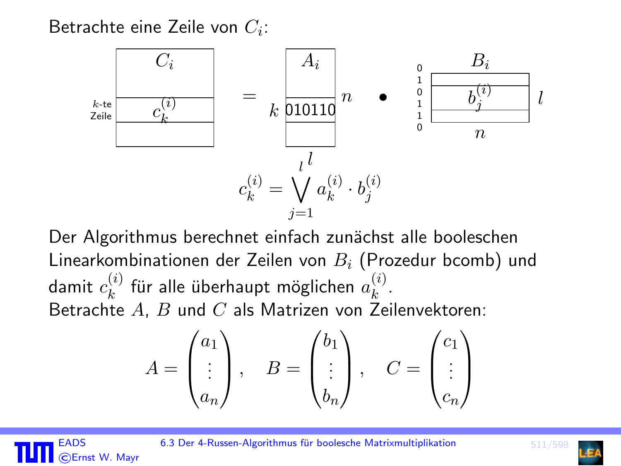Betrachte eine Zeile von  $C_i$ :



Der Algorithmus berechnet einfach zunächst alle booleschen Linearkombinationen der Zeilen von  $B_i$  (Prozedur bcomb) und damit  $c_k^{(i)}$  $\mathbf{f}_{k}^{(i)}$  für alle überhaupt möglichen  $a_{k}^{(i)}$  $\binom{v}{k}$ . Betrachte  $A$ ,  $B$  und  $C$  als Matrizen von Zeilenvektoren:

$$
A = \begin{pmatrix} a_1 \\ \vdots \\ a_n \end{pmatrix}, \quad B = \begin{pmatrix} b_1 \\ \vdots \\ b_n \end{pmatrix}, \quad C = \begin{pmatrix} c_1 \\ \vdots \\ c_n \end{pmatrix}
$$



EADS 6.3 Der 4-Russen-Algorithmus für boolesche Matrixmultiplikation 511/59

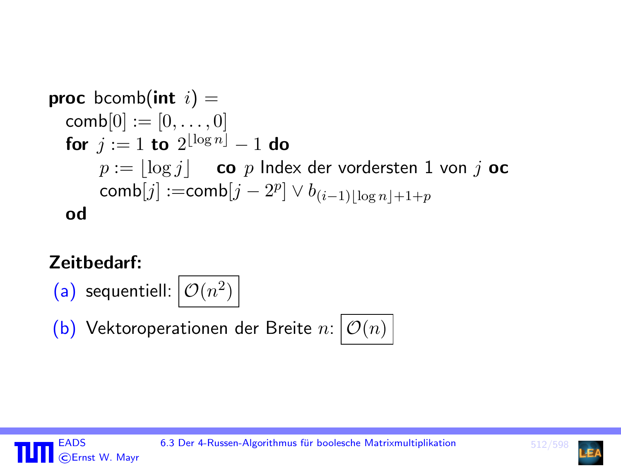\n
$$
\text{proc } \text{bcomb}[\text{0}] := [0, \ldots, 0]
$$
\n

\n\n $\text{for } j := 1 \text{ to } 2^{\lfloor \log n \rfloor} - 1 \text{ do}$ \n

\n\n $p := \lfloor \log j \rfloor$ \n

\n\n $\text{co } p \text{ Index } \text{der} \text{ vordersten } 1 \text{ von } j \text{ oc}$ \n

\n\n $\text{comb}[j] := \text{comb}[j - 2^p] \vee b_{(i-1)\lfloor \log n \rfloor + 1 + p}$ \n

\n\n $\text{od}$ \n

# Zeitbedarf:

(a) sequentiell:  $\mathcal{O}(n^2)$ 

(b) Vektoroperationen der Breite  $n: | \mathcal{O}(n) |$ 





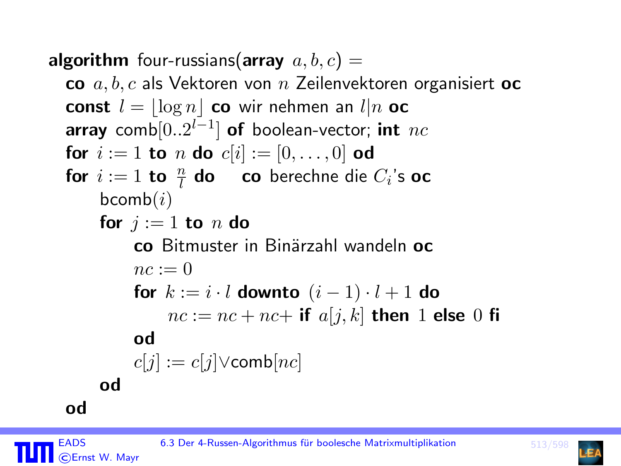**algorithm** four-russians( $\alpha$ rray  $a, b, c$ ) =

co  $a, b, c$  als Vektoren von  $n$  Zeilenvektoren organisiert oc **const**  $l = |\log n|$  co wir nehmen an  $l|n$  oc array comb $[0..2^{l-1}]$  of boolean-vector; int nc for  $i := 1$  to n do  $c[i] := [0, \ldots, 0]$  od for  $i := 1$  to  $\frac{n}{l}$  do co berechne die  $C_i$ 's oc  $b \text{comb}(i)$ for  $i := 1$  to n do co Bitmuster in Binärzahl wandeln oc  $nc := 0$ for  $k := i \cdot l$  downto  $(i - 1) \cdot l + 1$  do  $nc := nc + nc +$  if  $a[i, k]$  then 1 else 0 fi ho  $c[i] := c[j] \vee \text{comb}[nc]$ ho

od **EADS** 

CErnst W. Mavr

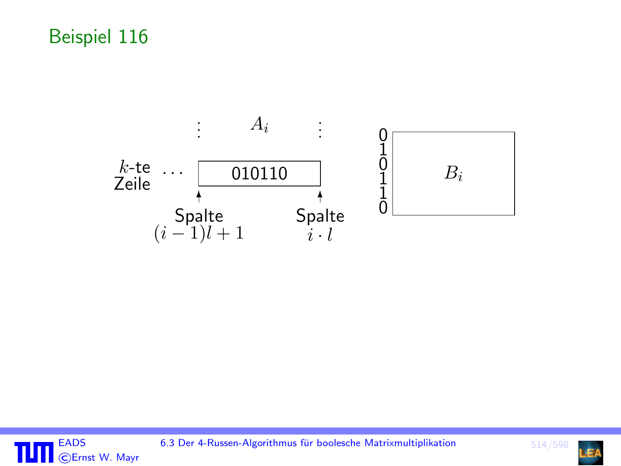# Beispiel 116





6.3 Der 4-Russen-Algorithmus für boolesche Matrixmultiplikation

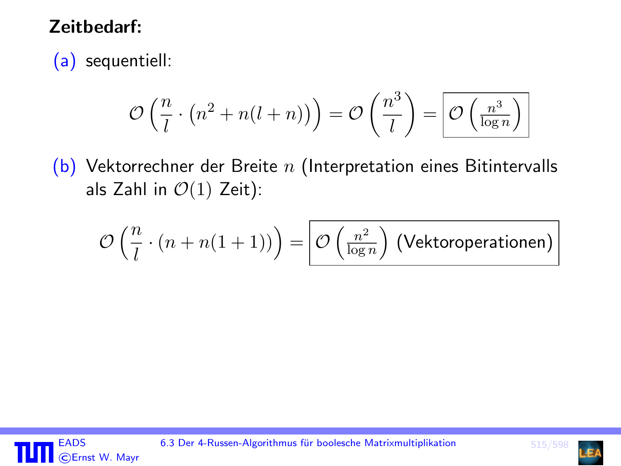### Zeitbedarf:

(a) sequentiell:

$$
\mathcal{O}\left(\frac{n}{l}\cdot\left(n^2+n(l+n)\right)\right)=\mathcal{O}\left(\frac{n^3}{l}\right)=\boxed{\mathcal{O}\left(\frac{n^3}{\log n}\right)}
$$

 $(b)$  Vektorrechner der Breite n (Interpretation eines Bitintervalls als Zahl in  $\mathcal{O}(1)$  Zeit):

$$
\mathcal{O}\left(\frac{n}{l}\cdot (n + n(1+1))\right) = \boxed{\mathcal{O}\left(\frac{n^2}{\log n}\right) \text{ (Vektoroperationen)}}
$$



EADS 6.3 Der 4-Russen-Algorithmus für boolesche Matrixmultiplikation 515/598

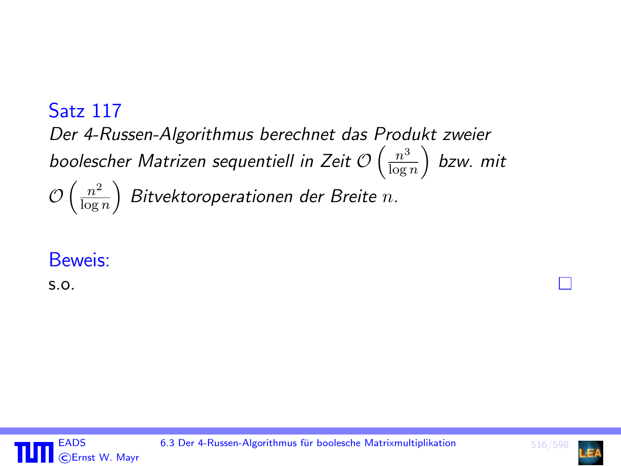#### Satz 117 Der 4-Russen-Algorithmus berechnet das Produkt zweier boolescher Matrizen sequentiell in Zeit O  $\left(\frac{n^3}{\log n}\right)$  $\frac{n^3}{\log n} \Big)$  bzw. mit  $\mathcal{O}\left(\frac{n^2}{\log n}\right)$  $\left(\frac{n^2}{\log n}\right)$  Bitvektoroperationen der Breite  $n.$

### Beweis:

s.o.



EADS 6.3 Der 4-Russen-Algorithmus für boolesche Matrixmultiplikation 516/598

П